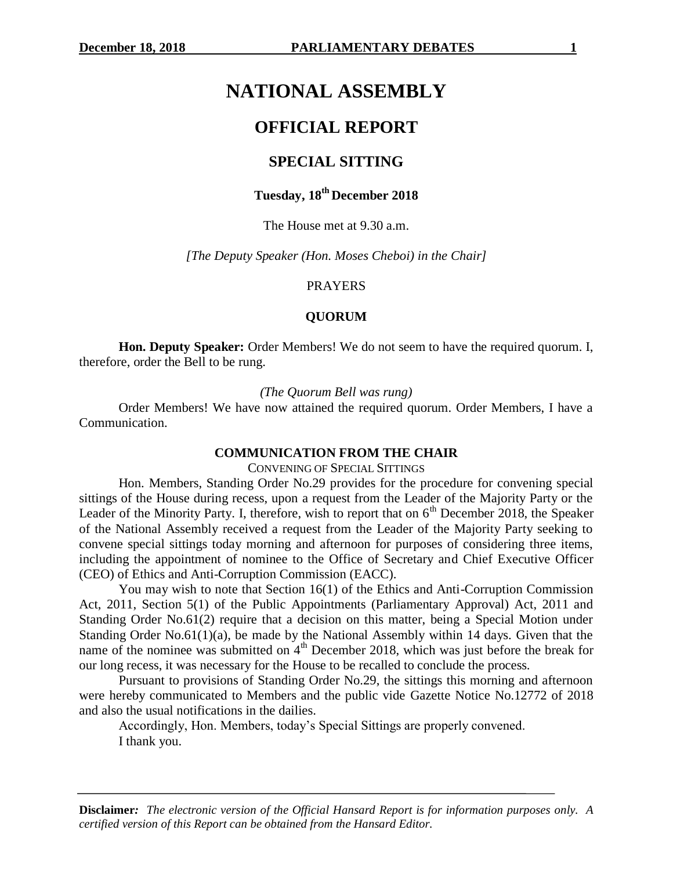# **NATIONAL ASSEMBLY**

# **OFFICIAL REPORT**

# **SPECIAL SITTING**

# **Tuesday, 18th December 2018**

### The House met at 9.30 a.m.

*[The Deputy Speaker (Hon. Moses Cheboi) in the Chair]*

#### PRAYERS

## **QUORUM**

**Hon. Deputy Speaker:** Order Members! We do not seem to have the required quorum. I, therefore, order the Bell to be rung.

*(The Quorum Bell was rung)*

Order Members! We have now attained the required quorum. Order Members, I have a Communication.

#### **COMMUNICATION FROM THE CHAIR**

CONVENING OF SPECIAL SITTINGS

Hon. Members, Standing Order No.29 provides for the procedure for convening special sittings of the House during recess, upon a request from the Leader of the Majority Party or the Leader of the Minority Party. I, therefore, wish to report that on  $6<sup>th</sup>$  December 2018, the Speaker of the National Assembly received a request from the Leader of the Majority Party seeking to convene special sittings today morning and afternoon for purposes of considering three items, including the appointment of nominee to the Office of Secretary and Chief Executive Officer (CEO) of Ethics and Anti-Corruption Commission (EACC).

You may wish to note that Section 16(1) of the Ethics and Anti-Corruption Commission Act, 2011, Section 5(1) of the Public Appointments (Parliamentary Approval) Act, 2011 and Standing Order No.61(2) require that a decision on this matter, being a Special Motion under Standing Order No.61(1)(a), be made by the National Assembly within 14 days. Given that the name of the nominee was submitted on  $4<sup>th</sup>$  December 2018, which was just before the break for our long recess, it was necessary for the House to be recalled to conclude the process.

Pursuant to provisions of Standing Order No.29, the sittings this morning and afternoon were hereby communicated to Members and the public vide Gazette Notice No.12772 of 2018 and also the usual notifications in the dailies.

Accordingly, Hon. Members, today's Special Sittings are properly convened. I thank you.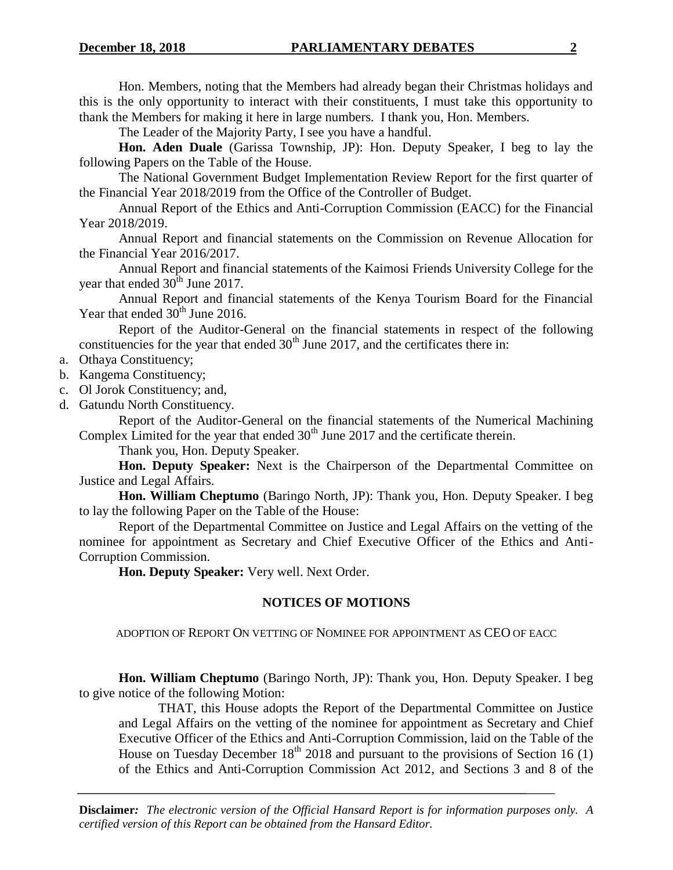Hon. Members, noting that the Members had already began their Christmas holidays and this is the only opportunity to interact with their constituents, I must take this opportunity to thank the Members for making it here in large numbers. I thank you, Hon. Members.

The Leader of the Majority Party, I see you have a handful.

**Hon. Aden Duale** (Garissa Township, JP): Hon. Deputy Speaker, I beg to lay the following Papers on the Table of the House.

The National Government Budget Implementation Review Report for the first quarter of the Financial Year 2018/2019 from the Office of the Controller of Budget.

Annual Report of the Ethics and Anti-Corruption Commission (EACC) for the Financial Year 2018/2019.

Annual Report and financial statements on the Commission on Revenue Allocation for the Financial Year 2016/2017.

Annual Report and financial statements of the Kaimosi Friends University College for the year that ended  $30<sup>th</sup>$  June 2017.

Annual Report and financial statements of the Kenya Tourism Board for the Financial Year that ended  $30<sup>th</sup>$  June 2016.

Report of the Auditor-General on the financial statements in respect of the following constituencies for the year that ended  $30<sup>th</sup>$  June 2017, and the certificates there in:

- a. Othaya Constituency;
- b. Kangema Constituency;
- c. Ol Jorok Constituency; and,
- d. Gatundu North Constituency.

Report of the Auditor-General on the financial statements of the Numerical Machining Complex Limited for the year that ended  $30<sup>th</sup>$  June 2017 and the certificate therein.

Thank you, Hon. Deputy Speaker.

**Hon. Deputy Speaker:** Next is the Chairperson of the Departmental Committee on Justice and Legal Affairs.

**Hon. William Cheptumo** (Baringo North, JP): Thank you, Hon. Deputy Speaker. I beg to lay the following Paper on the Table of the House:

Report of the Departmental Committee on Justice and Legal Affairs on the vetting of the nominee for appointment as Secretary and Chief Executive Officer of the Ethics and Anti-Corruption Commission.

**Hon. Deputy Speaker:** Very well. Next Order.

# **NOTICES OF MOTIONS**

ADOPTION OF REPORT ON VETTING OF NOMINEE FOR APPOINTMENT AS CEO OF EACC

**Hon. William Cheptumo** (Baringo North, JP): Thank you, Hon. Deputy Speaker. I beg to give notice of the following Motion:

THAT, this House adopts the Report of the Departmental Committee on Justice and Legal Affairs on the vetting of the nominee for appointment as Secretary and Chief Executive Officer of the Ethics and Anti-Corruption Commission, laid on the Table of the House on Tuesday December  $18<sup>th</sup> 2018$  and pursuant to the provisions of Section 16 (1) of the Ethics and Anti-Corruption Commission Act 2012, and Sections 3 and 8 of the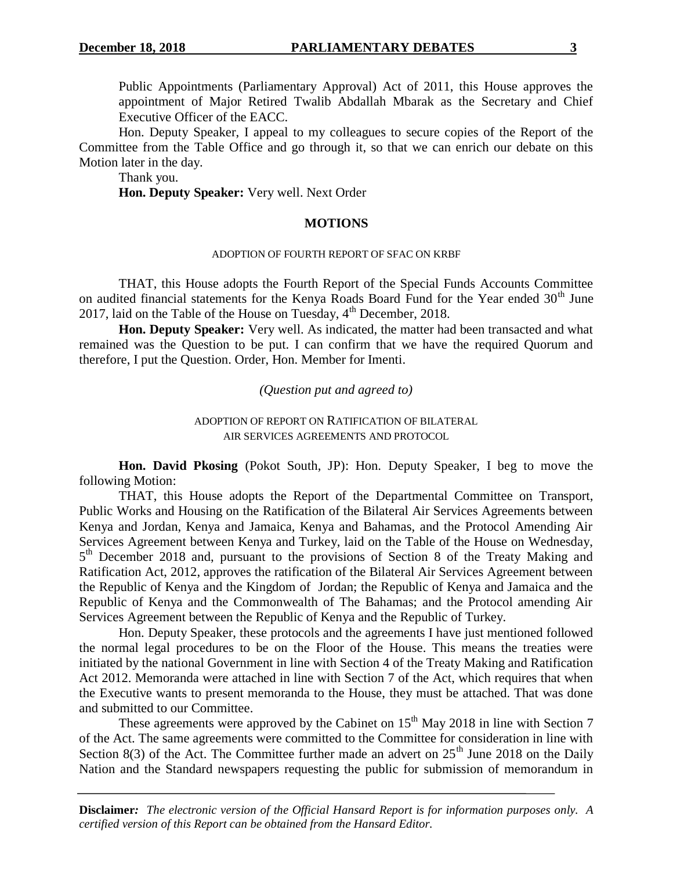Public Appointments (Parliamentary Approval) Act of 2011, this House approves the appointment of Major Retired Twalib Abdallah Mbarak as the Secretary and Chief Executive Officer of the EACC.

Hon. Deputy Speaker, I appeal to my colleagues to secure copies of the Report of the Committee from the Table Office and go through it, so that we can enrich our debate on this Motion later in the day.

Thank you. **Hon. Deputy Speaker:** Very well. Next Order

# **MOTIONS**

# ADOPTION OF FOURTH REPORT OF SFAC ON KRBF

THAT, this House adopts the Fourth Report of the Special Funds Accounts Committee on audited financial statements for the Kenya Roads Board Fund for the Year ended  $30<sup>th</sup>$  June 2017, laid on the Table of the House on Tuesday,  $4<sup>th</sup>$  December, 2018.

**Hon. Deputy Speaker:** Very well. As indicated, the matter had been transacted and what remained was the Question to be put. I can confirm that we have the required Quorum and therefore, I put the Question. Order, Hon. Member for Imenti.

*(Question put and agreed to)*

ADOPTION OF REPORT ON RATIFICATION OF BILATERAL AIR SERVICES AGREEMENTS AND PROTOCOL

**Hon. David Pkosing** (Pokot South, JP): Hon. Deputy Speaker, I beg to move the following Motion:

THAT, this House adopts the Report of the Departmental Committee on Transport, Public Works and Housing on the Ratification of the Bilateral Air Services Agreements between Kenya and Jordan, Kenya and Jamaica, Kenya and Bahamas, and the Protocol Amending Air Services Agreement between Kenya and Turkey, laid on the Table of the House on Wednesday, 5<sup>th</sup> December 2018 and, pursuant to the provisions of Section 8 of the Treaty Making and Ratification Act, 2012, approves the ratification of the Bilateral Air Services Agreement between the Republic of Kenya and the Kingdom of Jordan; the Republic of Kenya and Jamaica and the Republic of Kenya and the Commonwealth of The Bahamas; and the Protocol amending Air Services Agreement between the Republic of Kenya and the Republic of Turkey.

Hon. Deputy Speaker, these protocols and the agreements I have just mentioned followed the normal legal procedures to be on the Floor of the House. This means the treaties were initiated by the national Government in line with Section 4 of the Treaty Making and Ratification Act 2012. Memoranda were attached in line with Section 7 of the Act, which requires that when the Executive wants to present memoranda to the House, they must be attached. That was done and submitted to our Committee.

These agreements were approved by the Cabinet on  $15<sup>th</sup>$  May 2018 in line with Section 7 of the Act. The same agreements were committed to the Committee for consideration in line with Section 8(3) of the Act. The Committee further made an advert on  $25<sup>th</sup>$  June 2018 on the Daily Nation and the Standard newspapers requesting the public for submission of memorandum in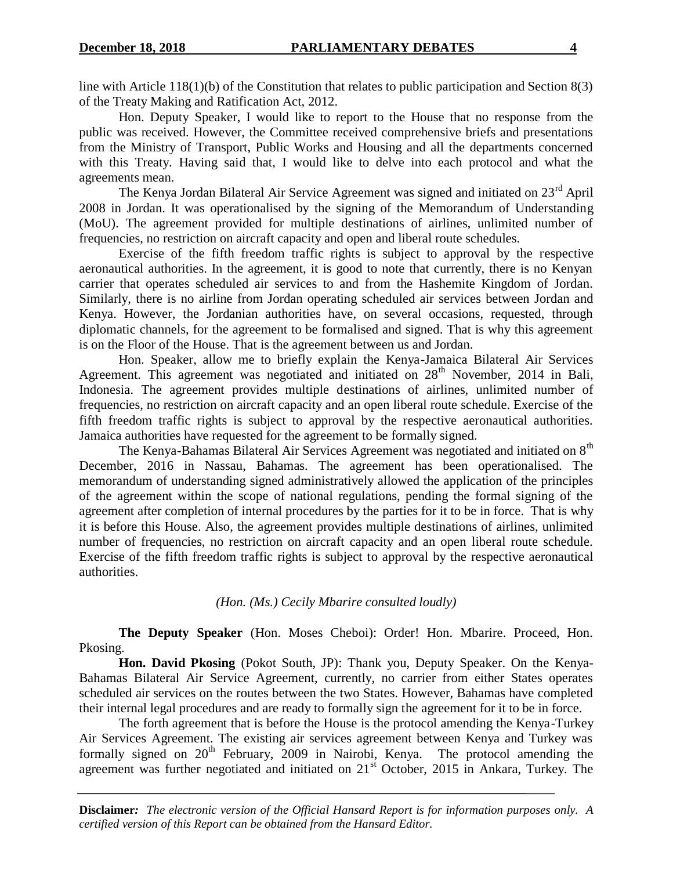line with Article 118(1)(b) of the Constitution that relates to public participation and Section 8(3) of the Treaty Making and Ratification Act, 2012.

Hon. Deputy Speaker, I would like to report to the House that no response from the public was received. However, the Committee received comprehensive briefs and presentations from the Ministry of Transport, Public Works and Housing and all the departments concerned with this Treaty. Having said that, I would like to delve into each protocol and what the agreements mean.

The Kenya Jordan Bilateral Air Service Agreement was signed and initiated on 23<sup>rd</sup> April 2008 in Jordan. It was operationalised by the signing of the Memorandum of Understanding (MoU). The agreement provided for multiple destinations of airlines, unlimited number of frequencies, no restriction on aircraft capacity and open and liberal route schedules.

Exercise of the fifth freedom traffic rights is subject to approval by the respective aeronautical authorities. In the agreement, it is good to note that currently, there is no Kenyan carrier that operates scheduled air services to and from the Hashemite Kingdom of Jordan. Similarly, there is no airline from Jordan operating scheduled air services between Jordan and Kenya. However, the Jordanian authorities have, on several occasions, requested, through diplomatic channels, for the agreement to be formalised and signed. That is why this agreement is on the Floor of the House. That is the agreement between us and Jordan.

Hon. Speaker, allow me to briefly explain the Kenya-Jamaica Bilateral Air Services Agreement. This agreement was negotiated and initiated on  $28<sup>th</sup>$  November, 2014 in Bali, Indonesia. The agreement provides multiple destinations of airlines, unlimited number of frequencies, no restriction on aircraft capacity and an open liberal route schedule. Exercise of the fifth freedom traffic rights is subject to approval by the respective aeronautical authorities. Jamaica authorities have requested for the agreement to be formally signed.

The Kenya-Bahamas Bilateral Air Services Agreement was negotiated and initiated on 8<sup>th</sup> December, 2016 in Nassau, Bahamas. The agreement has been operationalised. The memorandum of understanding signed administratively allowed the application of the principles of the agreement within the scope of national regulations, pending the formal signing of the agreement after completion of internal procedures by the parties for it to be in force. That is why it is before this House. Also, the agreement provides multiple destinations of airlines, unlimited number of frequencies, no restriction on aircraft capacity and an open liberal route schedule. Exercise of the fifth freedom traffic rights is subject to approval by the respective aeronautical authorities.

*(Hon. (Ms.) Cecily Mbarire consulted loudly)*

**The Deputy Speaker** (Hon. Moses Cheboi): Order! Hon. Mbarire. Proceed, Hon. Pkosing.

**Hon. David Pkosing** (Pokot South, JP): Thank you, Deputy Speaker. On the Kenya-Bahamas Bilateral Air Service Agreement, currently, no carrier from either States operates scheduled air services on the routes between the two States. However, Bahamas have completed their internal legal procedures and are ready to formally sign the agreement for it to be in force.

The forth agreement that is before the House is the protocol amending the Kenya-Turkey Air Services Agreement. The existing air services agreement between Kenya and Turkey was formally signed on 20<sup>th</sup> February, 2009 in Nairobi, Kenya. The protocol amending the agreement was further negotiated and initiated on 21<sup>st</sup> October, 2015 in Ankara, Turkey. The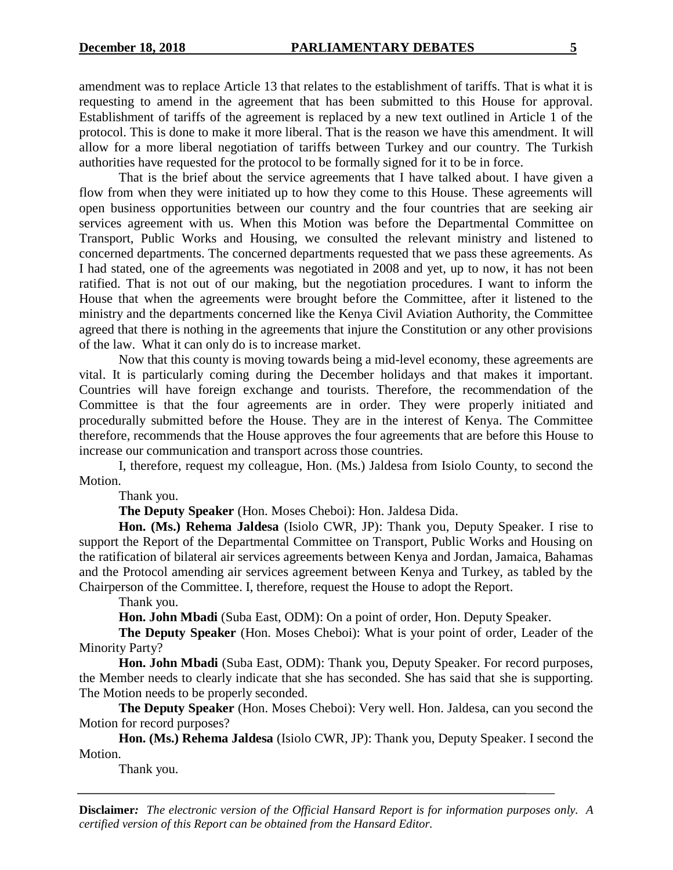amendment was to replace Article 13 that relates to the establishment of tariffs. That is what it is requesting to amend in the agreement that has been submitted to this House for approval. Establishment of tariffs of the agreement is replaced by a new text outlined in Article 1 of the protocol. This is done to make it more liberal. That is the reason we have this amendment. It will allow for a more liberal negotiation of tariffs between Turkey and our country. The Turkish authorities have requested for the protocol to be formally signed for it to be in force.

That is the brief about the service agreements that I have talked about. I have given a flow from when they were initiated up to how they come to this House. These agreements will open business opportunities between our country and the four countries that are seeking air services agreement with us. When this Motion was before the Departmental Committee on Transport, Public Works and Housing, we consulted the relevant ministry and listened to concerned departments. The concerned departments requested that we pass these agreements. As I had stated, one of the agreements was negotiated in 2008 and yet, up to now, it has not been ratified. That is not out of our making, but the negotiation procedures. I want to inform the House that when the agreements were brought before the Committee, after it listened to the ministry and the departments concerned like the Kenya Civil Aviation Authority, the Committee agreed that there is nothing in the agreements that injure the Constitution or any other provisions of the law. What it can only do is to increase market.

Now that this county is moving towards being a mid-level economy, these agreements are vital. It is particularly coming during the December holidays and that makes it important. Countries will have foreign exchange and tourists. Therefore, the recommendation of the Committee is that the four agreements are in order. They were properly initiated and procedurally submitted before the House. They are in the interest of Kenya. The Committee therefore, recommends that the House approves the four agreements that are before this House to increase our communication and transport across those countries.

I, therefore, request my colleague, Hon. (Ms.) Jaldesa from Isiolo County, to second the Motion.

Thank you.

**The Deputy Speaker** (Hon. Moses Cheboi): Hon. Jaldesa Dida.

**Hon. (Ms.) Rehema Jaldesa** (Isiolo CWR, JP): Thank you, Deputy Speaker. I rise to support the Report of the Departmental Committee on Transport, Public Works and Housing on the ratification of bilateral air services agreements between Kenya and Jordan, Jamaica, Bahamas and the Protocol amending air services agreement between Kenya and Turkey, as tabled by the Chairperson of the Committee. I, therefore, request the House to adopt the Report.

Thank you.

**Hon. John Mbadi** (Suba East, ODM): On a point of order, Hon. Deputy Speaker.

**The Deputy Speaker** (Hon. Moses Cheboi): What is your point of order, Leader of the Minority Party?

**Hon. John Mbadi** (Suba East, ODM): Thank you, Deputy Speaker. For record purposes, the Member needs to clearly indicate that she has seconded. She has said that she is supporting. The Motion needs to be properly seconded.

**The Deputy Speaker** (Hon. Moses Cheboi): Very well. Hon. Jaldesa, can you second the Motion for record purposes?

**Hon. (Ms.) Rehema Jaldesa** (Isiolo CWR, JP): Thank you, Deputy Speaker. I second the Motion.

Thank you.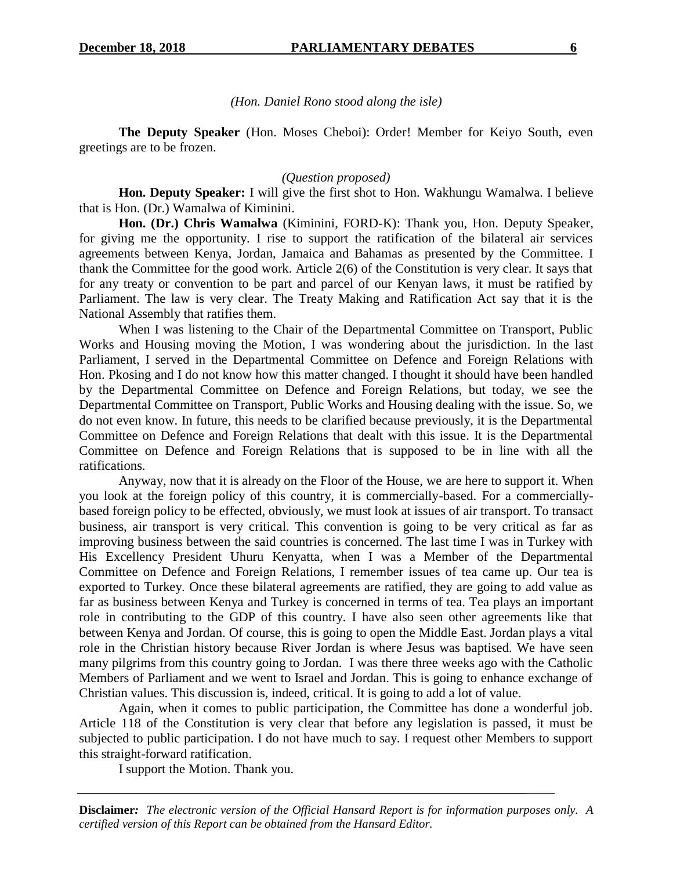*(Hon. Daniel Rono stood along the isle)*

**The Deputy Speaker** (Hon. Moses Cheboi): Order! Member for Keiyo South, even greetings are to be frozen.

# *(Question proposed)*

**Hon. Deputy Speaker:** I will give the first shot to Hon. Wakhungu Wamalwa. I believe that is Hon. (Dr.) Wamalwa of Kiminini.

**Hon. (Dr.) Chris Wamalwa** (Kiminini, FORD-K): Thank you, Hon. Deputy Speaker, for giving me the opportunity. I rise to support the ratification of the bilateral air services agreements between Kenya, Jordan, Jamaica and Bahamas as presented by the Committee. I thank the Committee for the good work. Article 2(6) of the Constitution is very clear. It says that for any treaty or convention to be part and parcel of our Kenyan laws, it must be ratified by Parliament. The law is very clear. The Treaty Making and Ratification Act say that it is the National Assembly that ratifies them.

When I was listening to the Chair of the Departmental Committee on Transport, Public Works and Housing moving the Motion, I was wondering about the jurisdiction. In the last Parliament, I served in the Departmental Committee on Defence and Foreign Relations with Hon. Pkosing and I do not know how this matter changed. I thought it should have been handled by the Departmental Committee on Defence and Foreign Relations, but today, we see the Departmental Committee on Transport, Public Works and Housing dealing with the issue. So, we do not even know. In future, this needs to be clarified because previously, it is the Departmental Committee on Defence and Foreign Relations that dealt with this issue. It is the Departmental Committee on Defence and Foreign Relations that is supposed to be in line with all the ratifications.

Anyway, now that it is already on the Floor of the House, we are here to support it. When you look at the foreign policy of this country, it is commercially-based. For a commerciallybased foreign policy to be effected, obviously, we must look at issues of air transport. To transact business, air transport is very critical. This convention is going to be very critical as far as improving business between the said countries is concerned. The last time I was in Turkey with His Excellency President Uhuru Kenyatta, when I was a Member of the Departmental Committee on Defence and Foreign Relations, I remember issues of tea came up. Our tea is exported to Turkey. Once these bilateral agreements are ratified, they are going to add value as far as business between Kenya and Turkey is concerned in terms of tea. Tea plays an important role in contributing to the GDP of this country. I have also seen other agreements like that between Kenya and Jordan. Of course, this is going to open the Middle East. Jordan plays a vital role in the Christian history because River Jordan is where Jesus was baptised. We have seen many pilgrims from this country going to Jordan. I was there three weeks ago with the Catholic Members of Parliament and we went to Israel and Jordan. This is going to enhance exchange of Christian values. This discussion is, indeed, critical. It is going to add a lot of value.

Again, when it comes to public participation, the Committee has done a wonderful job. Article 118 of the Constitution is very clear that before any legislation is passed, it must be subjected to public participation. I do not have much to say. I request other Members to support this straight-forward ratification.

I support the Motion. Thank you.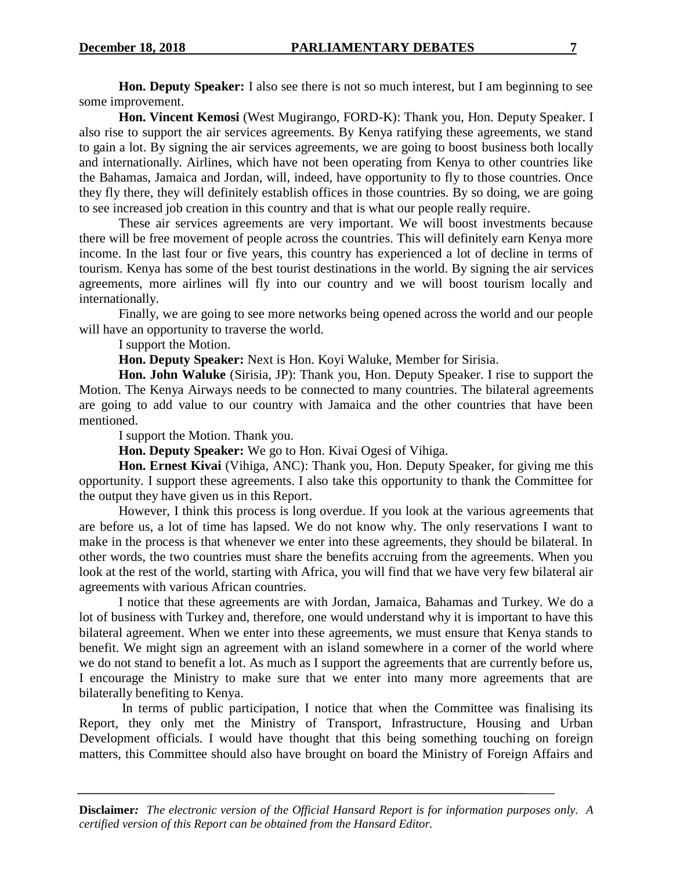**Hon. Deputy Speaker:** I also see there is not so much interest, but I am beginning to see some improvement.

**Hon. Vincent Kemosi** (West Mugirango, FORD-K): Thank you, Hon. Deputy Speaker. I also rise to support the air services agreements. By Kenya ratifying these agreements, we stand to gain a lot. By signing the air services agreements, we are going to boost business both locally and internationally. Airlines, which have not been operating from Kenya to other countries like the Bahamas, Jamaica and Jordan, will, indeed, have opportunity to fly to those countries. Once they fly there, they will definitely establish offices in those countries. By so doing, we are going to see increased job creation in this country and that is what our people really require.

These air services agreements are very important. We will boost investments because there will be free movement of people across the countries. This will definitely earn Kenya more income. In the last four or five years, this country has experienced a lot of decline in terms of tourism. Kenya has some of the best tourist destinations in the world. By signing the air services agreements, more airlines will fly into our country and we will boost tourism locally and internationally.

Finally, we are going to see more networks being opened across the world and our people will have an opportunity to traverse the world.

I support the Motion.

**Hon. Deputy Speaker:** Next is Hon. Koyi Waluke, Member for Sirisia.

**Hon. John Waluke** (Sirisia, JP): Thank you, Hon. Deputy Speaker. I rise to support the Motion. The Kenya Airways needs to be connected to many countries. The bilateral agreements are going to add value to our country with Jamaica and the other countries that have been mentioned.

I support the Motion. Thank you.

**Hon. Deputy Speaker:** We go to Hon. Kivai Ogesi of Vihiga.

**Hon. Ernest Kivai** (Vihiga, ANC): Thank you, Hon. Deputy Speaker, for giving me this opportunity. I support these agreements. I also take this opportunity to thank the Committee for the output they have given us in this Report.

However, I think this process is long overdue. If you look at the various agreements that are before us, a lot of time has lapsed. We do not know why. The only reservations I want to make in the process is that whenever we enter into these agreements, they should be bilateral. In other words, the two countries must share the benefits accruing from the agreements. When you look at the rest of the world, starting with Africa, you will find that we have very few bilateral air agreements with various African countries.

I notice that these agreements are with Jordan, Jamaica, Bahamas and Turkey. We do a lot of business with Turkey and, therefore, one would understand why it is important to have this bilateral agreement. When we enter into these agreements, we must ensure that Kenya stands to benefit. We might sign an agreement with an island somewhere in a corner of the world where we do not stand to benefit a lot. As much as I support the agreements that are currently before us, I encourage the Ministry to make sure that we enter into many more agreements that are bilaterally benefiting to Kenya.

In terms of public participation, I notice that when the Committee was finalising its Report, they only met the Ministry of Transport, Infrastructure, Housing and Urban Development officials. I would have thought that this being something touching on foreign matters, this Committee should also have brought on board the Ministry of Foreign Affairs and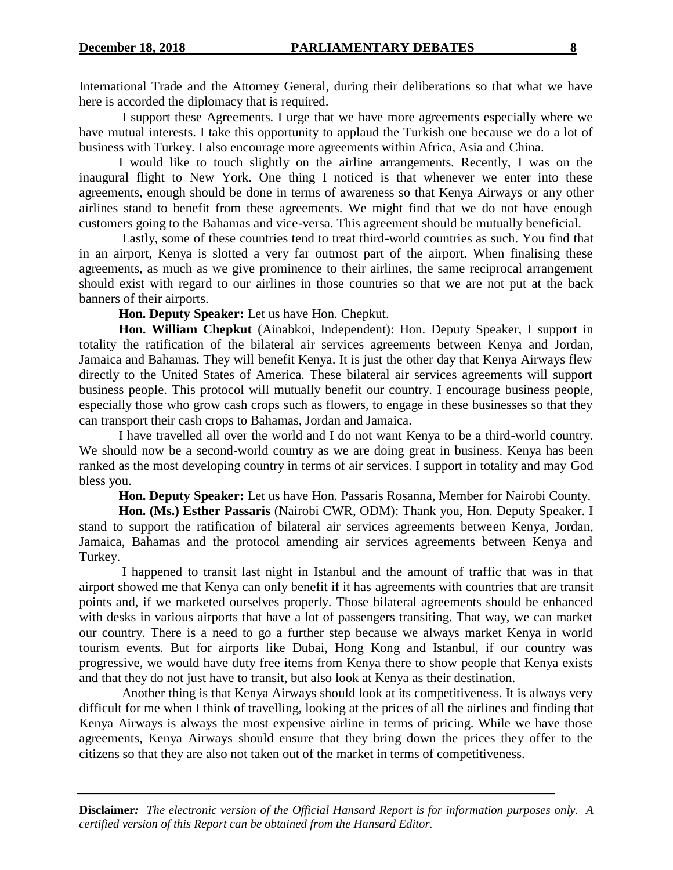International Trade and the Attorney General, during their deliberations so that what we have here is accorded the diplomacy that is required.

I support these Agreements. I urge that we have more agreements especially where we have mutual interests. I take this opportunity to applaud the Turkish one because we do a lot of business with Turkey. I also encourage more agreements within Africa, Asia and China.

I would like to touch slightly on the airline arrangements. Recently, I was on the inaugural flight to New York. One thing I noticed is that whenever we enter into these agreements, enough should be done in terms of awareness so that Kenya Airways or any other airlines stand to benefit from these agreements. We might find that we do not have enough customers going to the Bahamas and vice-versa. This agreement should be mutually beneficial.

Lastly, some of these countries tend to treat third-world countries as such. You find that in an airport, Kenya is slotted a very far outmost part of the airport. When finalising these agreements, as much as we give prominence to their airlines, the same reciprocal arrangement should exist with regard to our airlines in those countries so that we are not put at the back banners of their airports.

**Hon. Deputy Speaker:** Let us have Hon. Chepkut.

**Hon. William Chepkut** (Ainabkoi, Independent): Hon. Deputy Speaker, I support in totality the ratification of the bilateral air services agreements between Kenya and Jordan, Jamaica and Bahamas. They will benefit Kenya. It is just the other day that Kenya Airways flew directly to the United States of America. These bilateral air services agreements will support business people. This protocol will mutually benefit our country. I encourage business people, especially those who grow cash crops such as flowers, to engage in these businesses so that they can transport their cash crops to Bahamas, Jordan and Jamaica.

I have travelled all over the world and I do not want Kenya to be a third-world country. We should now be a second-world country as we are doing great in business. Kenya has been ranked as the most developing country in terms of air services. I support in totality and may God bless you.

**Hon. Deputy Speaker:** Let us have Hon. Passaris Rosanna, Member for Nairobi County.

**Hon. (Ms.) Esther Passaris** (Nairobi CWR, ODM): Thank you, Hon. Deputy Speaker. I stand to support the ratification of bilateral air services agreements between Kenya, Jordan, Jamaica, Bahamas and the protocol amending air services agreements between Kenya and Turkey.

I happened to transit last night in Istanbul and the amount of traffic that was in that airport showed me that Kenya can only benefit if it has agreements with countries that are transit points and, if we marketed ourselves properly. Those bilateral agreements should be enhanced with desks in various airports that have a lot of passengers transiting. That way, we can market our country. There is a need to go a further step because we always market Kenya in world tourism events. But for airports like Dubai, Hong Kong and Istanbul, if our country was progressive, we would have duty free items from Kenya there to show people that Kenya exists and that they do not just have to transit, but also look at Kenya as their destination.

Another thing is that Kenya Airways should look at its competitiveness. It is always very difficult for me when I think of travelling, looking at the prices of all the airlines and finding that Kenya Airways is always the most expensive airline in terms of pricing. While we have those agreements, Kenya Airways should ensure that they bring down the prices they offer to the citizens so that they are also not taken out of the market in terms of competitiveness.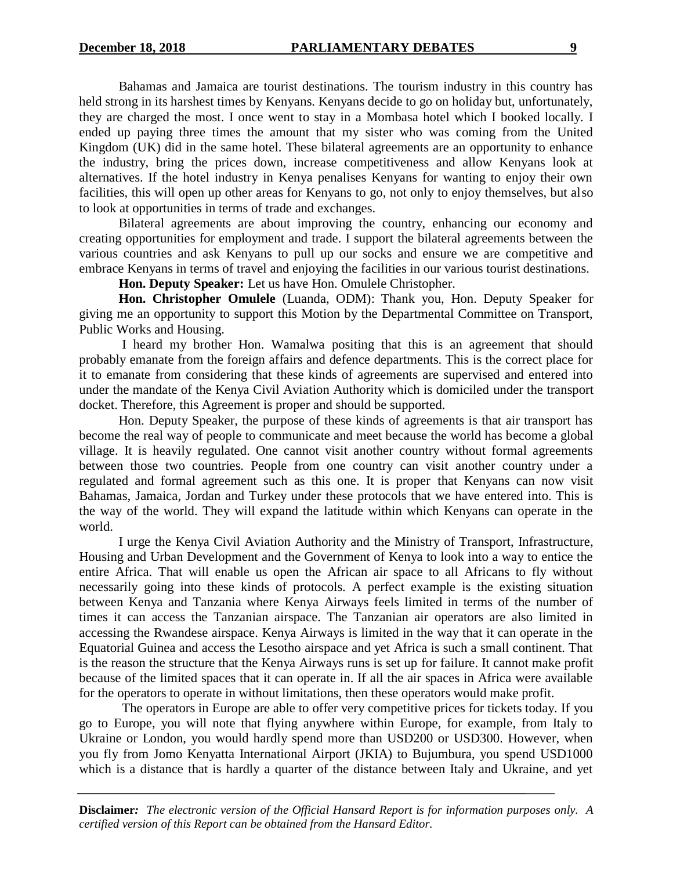Bahamas and Jamaica are tourist destinations. The tourism industry in this country has held strong in its harshest times by Kenyans. Kenyans decide to go on holiday but, unfortunately, they are charged the most. I once went to stay in a Mombasa hotel which I booked locally. I ended up paying three times the amount that my sister who was coming from the United Kingdom (UK) did in the same hotel. These bilateral agreements are an opportunity to enhance the industry, bring the prices down, increase competitiveness and allow Kenyans look at alternatives. If the hotel industry in Kenya penalises Kenyans for wanting to enjoy their own facilities, this will open up other areas for Kenyans to go, not only to enjoy themselves, but also to look at opportunities in terms of trade and exchanges.

Bilateral agreements are about improving the country, enhancing our economy and creating opportunities for employment and trade. I support the bilateral agreements between the various countries and ask Kenyans to pull up our socks and ensure we are competitive and embrace Kenyans in terms of travel and enjoying the facilities in our various tourist destinations.

**Hon. Deputy Speaker:** Let us have Hon. Omulele Christopher.

**Hon. Christopher Omulele** (Luanda, ODM): Thank you, Hon. Deputy Speaker for giving me an opportunity to support this Motion by the Departmental Committee on Transport, Public Works and Housing.

I heard my brother Hon. Wamalwa positing that this is an agreement that should probably emanate from the foreign affairs and defence departments. This is the correct place for it to emanate from considering that these kinds of agreements are supervised and entered into under the mandate of the Kenya Civil Aviation Authority which is domiciled under the transport docket. Therefore, this Agreement is proper and should be supported.

Hon. Deputy Speaker, the purpose of these kinds of agreements is that air transport has become the real way of people to communicate and meet because the world has become a global village. It is heavily regulated. One cannot visit another country without formal agreements between those two countries. People from one country can visit another country under a regulated and formal agreement such as this one. It is proper that Kenyans can now visit Bahamas, Jamaica, Jordan and Turkey under these protocols that we have entered into. This is the way of the world. They will expand the latitude within which Kenyans can operate in the world.

I urge the Kenya Civil Aviation Authority and the Ministry of Transport, Infrastructure, Housing and Urban Development and the Government of Kenya to look into a way to entice the entire Africa. That will enable us open the African air space to all Africans to fly without necessarily going into these kinds of protocols. A perfect example is the existing situation between Kenya and Tanzania where Kenya Airways feels limited in terms of the number of times it can access the Tanzanian airspace. The Tanzanian air operators are also limited in accessing the Rwandese airspace. Kenya Airways is limited in the way that it can operate in the Equatorial Guinea and access the Lesotho airspace and yet Africa is such a small continent. That is the reason the structure that the Kenya Airways runs is set up for failure. It cannot make profit because of the limited spaces that it can operate in. If all the air spaces in Africa were available for the operators to operate in without limitations, then these operators would make profit.

The operators in Europe are able to offer very competitive prices for tickets today. If you go to Europe, you will note that flying anywhere within Europe, for example, from Italy to Ukraine or London, you would hardly spend more than USD200 or USD300. However, when you fly from Jomo Kenyatta International Airport (JKIA) to Bujumbura, you spend USD1000 which is a distance that is hardly a quarter of the distance between Italy and Ukraine, and yet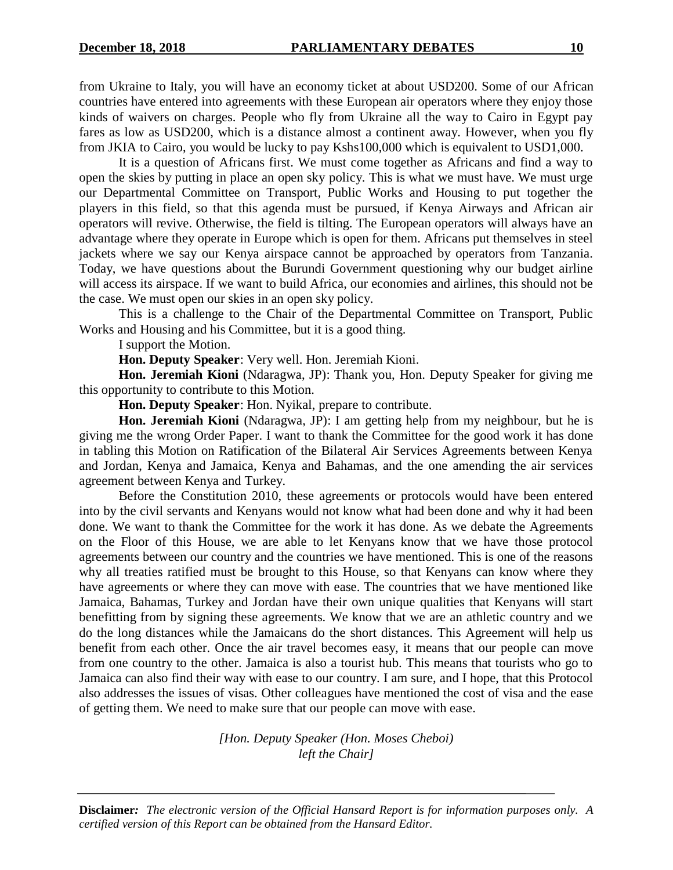from Ukraine to Italy, you will have an economy ticket at about USD200. Some of our African countries have entered into agreements with these European air operators where they enjoy those kinds of waivers on charges. People who fly from Ukraine all the way to Cairo in Egypt pay fares as low as USD200, which is a distance almost a continent away. However, when you fly from JKIA to Cairo, you would be lucky to pay Kshs100,000 which is equivalent to USD1,000.

It is a question of Africans first. We must come together as Africans and find a way to open the skies by putting in place an open sky policy. This is what we must have. We must urge our Departmental Committee on Transport, Public Works and Housing to put together the players in this field, so that this agenda must be pursued, if Kenya Airways and African air operators will revive. Otherwise, the field is tilting. The European operators will always have an advantage where they operate in Europe which is open for them. Africans put themselves in steel jackets where we say our Kenya airspace cannot be approached by operators from Tanzania. Today, we have questions about the Burundi Government questioning why our budget airline will access its airspace. If we want to build Africa, our economies and airlines, this should not be the case. We must open our skies in an open sky policy.

This is a challenge to the Chair of the Departmental Committee on Transport, Public Works and Housing and his Committee, but it is a good thing.

I support the Motion.

**Hon. Deputy Speaker**: Very well. Hon. Jeremiah Kioni.

**Hon. Jeremiah Kioni** (Ndaragwa, JP): Thank you, Hon. Deputy Speaker for giving me this opportunity to contribute to this Motion.

**Hon. Deputy Speaker**: Hon. Nyikal, prepare to contribute.

**Hon. Jeremiah Kioni** (Ndaragwa, JP): I am getting help from my neighbour, but he is giving me the wrong Order Paper. I want to thank the Committee for the good work it has done in tabling this Motion on Ratification of the Bilateral Air Services Agreements between Kenya and Jordan, Kenya and Jamaica, Kenya and Bahamas, and the one amending the air services agreement between Kenya and Turkey.

Before the Constitution 2010, these agreements or protocols would have been entered into by the civil servants and Kenyans would not know what had been done and why it had been done. We want to thank the Committee for the work it has done. As we debate the Agreements on the Floor of this House, we are able to let Kenyans know that we have those protocol agreements between our country and the countries we have mentioned. This is one of the reasons why all treaties ratified must be brought to this House, so that Kenyans can know where they have agreements or where they can move with ease. The countries that we have mentioned like Jamaica, Bahamas, Turkey and Jordan have their own unique qualities that Kenyans will start benefitting from by signing these agreements. We know that we are an athletic country and we do the long distances while the Jamaicans do the short distances. This Agreement will help us benefit from each other. Once the air travel becomes easy, it means that our people can move from one country to the other. Jamaica is also a tourist hub. This means that tourists who go to Jamaica can also find their way with ease to our country. I am sure, and I hope, that this Protocol also addresses the issues of visas. Other colleagues have mentioned the cost of visa and the ease of getting them. We need to make sure that our people can move with ease.

> *[Hon. Deputy Speaker (Hon. Moses Cheboi) left the Chair]*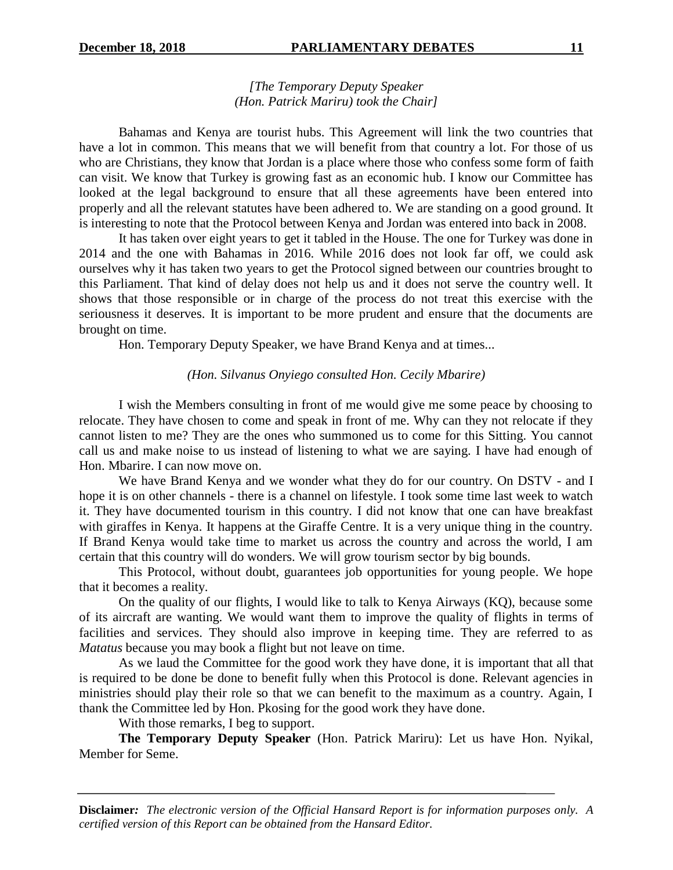# *[The Temporary Deputy Speaker (Hon. Patrick Mariru) took the Chair]*

Bahamas and Kenya are tourist hubs. This Agreement will link the two countries that have a lot in common. This means that we will benefit from that country a lot. For those of us who are Christians, they know that Jordan is a place where those who confess some form of faith can visit. We know that Turkey is growing fast as an economic hub. I know our Committee has looked at the legal background to ensure that all these agreements have been entered into properly and all the relevant statutes have been adhered to. We are standing on a good ground. It is interesting to note that the Protocol between Kenya and Jordan was entered into back in 2008.

It has taken over eight years to get it tabled in the House. The one for Turkey was done in 2014 and the one with Bahamas in 2016. While 2016 does not look far off, we could ask ourselves why it has taken two years to get the Protocol signed between our countries brought to this Parliament. That kind of delay does not help us and it does not serve the country well. It shows that those responsible or in charge of the process do not treat this exercise with the seriousness it deserves. It is important to be more prudent and ensure that the documents are brought on time.

Hon. Temporary Deputy Speaker, we have Brand Kenya and at times...

#### *(Hon. Silvanus Onyiego consulted Hon. Cecily Mbarire)*

I wish the Members consulting in front of me would give me some peace by choosing to relocate. They have chosen to come and speak in front of me. Why can they not relocate if they cannot listen to me? They are the ones who summoned us to come for this Sitting. You cannot call us and make noise to us instead of listening to what we are saying. I have had enough of Hon. Mbarire. I can now move on.

We have Brand Kenya and we wonder what they do for our country. On DSTV - and I hope it is on other channels - there is a channel on lifestyle. I took some time last week to watch it. They have documented tourism in this country. I did not know that one can have breakfast with giraffes in Kenya. It happens at the Giraffe Centre. It is a very unique thing in the country. If Brand Kenya would take time to market us across the country and across the world, I am certain that this country will do wonders. We will grow tourism sector by big bounds.

This Protocol, without doubt, guarantees job opportunities for young people. We hope that it becomes a reality.

On the quality of our flights, I would like to talk to Kenya Airways (KQ), because some of its aircraft are wanting. We would want them to improve the quality of flights in terms of facilities and services. They should also improve in keeping time. They are referred to as *Matatus* because you may book a flight but not leave on time.

As we laud the Committee for the good work they have done, it is important that all that is required to be done be done to benefit fully when this Protocol is done. Relevant agencies in ministries should play their role so that we can benefit to the maximum as a country. Again, I thank the Committee led by Hon. Pkosing for the good work they have done.

With those remarks, I beg to support.

**The Temporary Deputy Speaker** (Hon. Patrick Mariru): Let us have Hon. Nyikal, Member for Seme.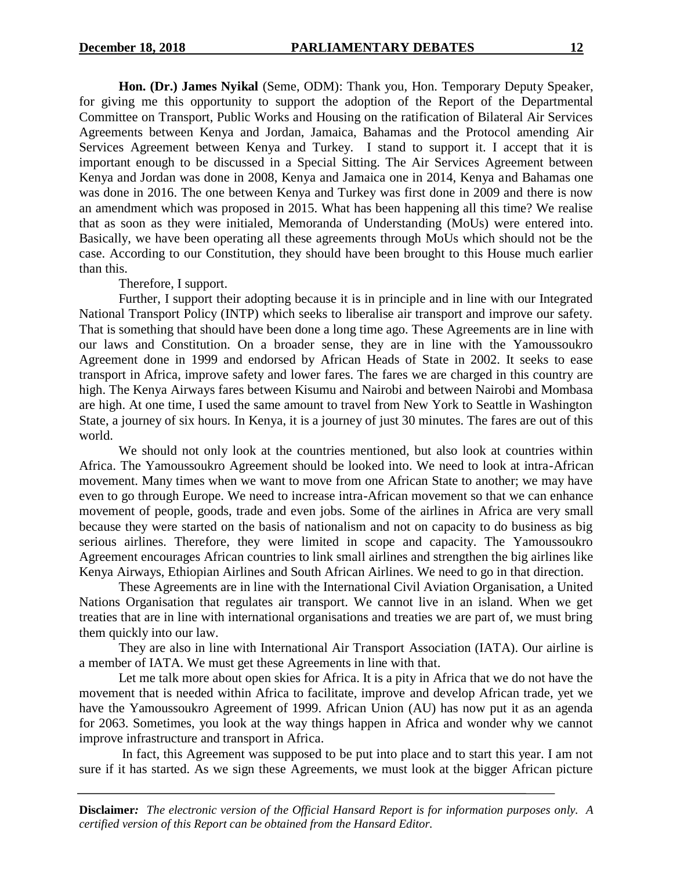**Hon. (Dr.) James Nyikal** (Seme, ODM): Thank you, Hon. Temporary Deputy Speaker, for giving me this opportunity to support the adoption of the Report of the Departmental Committee on Transport, Public Works and Housing on the ratification of Bilateral Air Services Agreements between Kenya and Jordan, Jamaica, Bahamas and the Protocol amending Air Services Agreement between Kenya and Turkey. I stand to support it. I accept that it is important enough to be discussed in a Special Sitting. The Air Services Agreement between Kenya and Jordan was done in 2008, Kenya and Jamaica one in 2014, Kenya and Bahamas one was done in 2016. The one between Kenya and Turkey was first done in 2009 and there is now an amendment which was proposed in 2015. What has been happening all this time? We realise that as soon as they were initialed, Memoranda of Understanding (MoUs) were entered into. Basically, we have been operating all these agreements through MoUs which should not be the case. According to our Constitution, they should have been brought to this House much earlier than this.

Therefore, I support.

Further, I support their adopting because it is in principle and in line with our Integrated National Transport Policy (INTP) which seeks to liberalise air transport and improve our safety. That is something that should have been done a long time ago. These Agreements are in line with our laws and Constitution. On a broader sense, they are in line with the Yamoussoukro Agreement done in 1999 and endorsed by African Heads of State in 2002. It seeks to ease transport in Africa, improve safety and lower fares. The fares we are charged in this country are high. The Kenya Airways fares between Kisumu and Nairobi and between Nairobi and Mombasa are high. At one time, I used the same amount to travel from New York to Seattle in Washington State, a journey of six hours. In Kenya, it is a journey of just 30 minutes. The fares are out of this world.

We should not only look at the countries mentioned, but also look at countries within Africa. The Yamoussoukro Agreement should be looked into. We need to look at intra-African movement. Many times when we want to move from one African State to another; we may have even to go through Europe. We need to increase intra-African movement so that we can enhance movement of people, goods, trade and even jobs. Some of the airlines in Africa are very small because they were started on the basis of nationalism and not on capacity to do business as big serious airlines. Therefore, they were limited in scope and capacity. The Yamoussoukro Agreement encourages African countries to link small airlines and strengthen the big airlines like Kenya Airways, Ethiopian Airlines and South African Airlines. We need to go in that direction.

These Agreements are in line with the International Civil Aviation Organisation, a United Nations Organisation that regulates air transport. We cannot live in an island. When we get treaties that are in line with international organisations and treaties we are part of, we must bring them quickly into our law.

They are also in line with International Air Transport Association (IATA). Our airline is a member of IATA. We must get these Agreements in line with that.

Let me talk more about open skies for Africa. It is a pity in Africa that we do not have the movement that is needed within Africa to facilitate, improve and develop African trade, yet we have the Yamoussoukro Agreement of 1999. African Union (AU) has now put it as an agenda for 2063. Sometimes, you look at the way things happen in Africa and wonder why we cannot improve infrastructure and transport in Africa.

In fact, this Agreement was supposed to be put into place and to start this year. I am not sure if it has started. As we sign these Agreements, we must look at the bigger African picture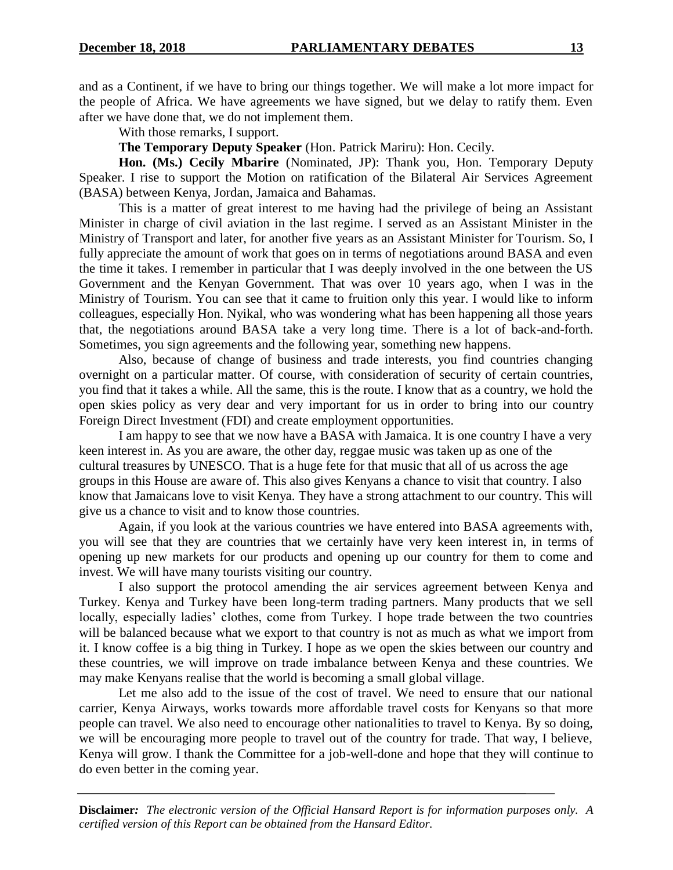and as a Continent, if we have to bring our things together. We will make a lot more impact for the people of Africa. We have agreements we have signed, but we delay to ratify them. Even after we have done that, we do not implement them.

With those remarks, I support.

**The Temporary Deputy Speaker** (Hon. Patrick Mariru): Hon. Cecily.

**Hon. (Ms.) Cecily Mbarire** (Nominated, JP): Thank you, Hon. Temporary Deputy Speaker. I rise to support the Motion on ratification of the Bilateral Air Services Agreement (BASA) between Kenya, Jordan, Jamaica and Bahamas.

This is a matter of great interest to me having had the privilege of being an Assistant Minister in charge of civil aviation in the last regime. I served as an Assistant Minister in the Ministry of Transport and later, for another five years as an Assistant Minister for Tourism. So, I fully appreciate the amount of work that goes on in terms of negotiations around BASA and even the time it takes. I remember in particular that I was deeply involved in the one between the US Government and the Kenyan Government. That was over 10 years ago, when I was in the Ministry of Tourism. You can see that it came to fruition only this year. I would like to inform colleagues, especially Hon. Nyikal, who was wondering what has been happening all those years that, the negotiations around BASA take a very long time. There is a lot of back-and-forth. Sometimes, you sign agreements and the following year, something new happens.

Also, because of change of business and trade interests, you find countries changing overnight on a particular matter. Of course, with consideration of security of certain countries, you find that it takes a while. All the same, this is the route. I know that as a country, we hold the open skies policy as very dear and very important for us in order to bring into our country Foreign Direct Investment (FDI) and create employment opportunities.

I am happy to see that we now have a BASA with Jamaica. It is one country I have a very keen interest in. As you are aware, the other day, reggae music was taken up as one of the cultural treasures by UNESCO. That is a huge fete for that music that all of us across the age groups in this House are aware of. This also gives Kenyans a chance to visit that country. I also know that Jamaicans love to visit Kenya. They have a strong attachment to our country. This will give us a chance to visit and to know those countries.

Again, if you look at the various countries we have entered into BASA agreements with, you will see that they are countries that we certainly have very keen interest in, in terms of opening up new markets for our products and opening up our country for them to come and invest. We will have many tourists visiting our country.

I also support the protocol amending the air services agreement between Kenya and Turkey. Kenya and Turkey have been long-term trading partners. Many products that we sell locally, especially ladies' clothes, come from Turkey. I hope trade between the two countries will be balanced because what we export to that country is not as much as what we import from it. I know coffee is a big thing in Turkey. I hope as we open the skies between our country and these countries, we will improve on trade imbalance between Kenya and these countries. We may make Kenyans realise that the world is becoming a small global village.

Let me also add to the issue of the cost of travel. We need to ensure that our national carrier, Kenya Airways, works towards more affordable travel costs for Kenyans so that more people can travel. We also need to encourage other nationalities to travel to Kenya. By so doing, we will be encouraging more people to travel out of the country for trade. That way, I believe, Kenya will grow. I thank the Committee for a job-well-done and hope that they will continue to do even better in the coming year.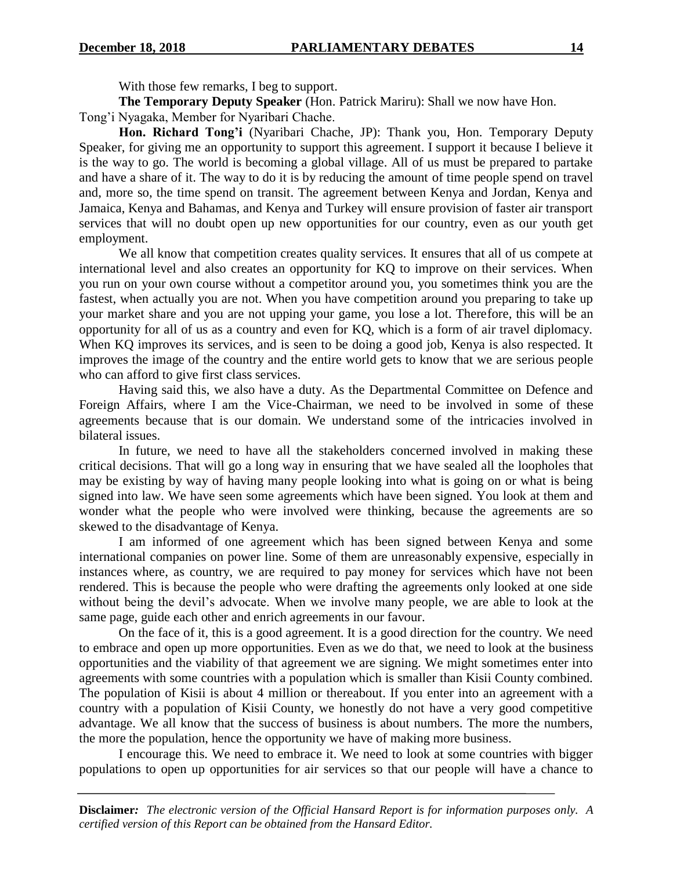With those few remarks, I beg to support.

**The Temporary Deputy Speaker** (Hon. Patrick Mariru): Shall we now have Hon. Tong'i Nyagaka, Member for Nyaribari Chache.

**Hon. Richard Tong'i** (Nyaribari Chache, JP): Thank you, Hon. Temporary Deputy Speaker, for giving me an opportunity to support this agreement. I support it because I believe it is the way to go. The world is becoming a global village. All of us must be prepared to partake and have a share of it. The way to do it is by reducing the amount of time people spend on travel and, more so, the time spend on transit. The agreement between Kenya and Jordan, Kenya and Jamaica, Kenya and Bahamas, and Kenya and Turkey will ensure provision of faster air transport services that will no doubt open up new opportunities for our country, even as our youth get employment.

We all know that competition creates quality services. It ensures that all of us compete at international level and also creates an opportunity for KQ to improve on their services. When you run on your own course without a competitor around you, you sometimes think you are the fastest, when actually you are not. When you have competition around you preparing to take up your market share and you are not upping your game, you lose a lot. Therefore, this will be an opportunity for all of us as a country and even for KQ, which is a form of air travel diplomacy. When KQ improves its services, and is seen to be doing a good job, Kenya is also respected. It improves the image of the country and the entire world gets to know that we are serious people who can afford to give first class services.

Having said this, we also have a duty. As the Departmental Committee on Defence and Foreign Affairs, where I am the Vice-Chairman, we need to be involved in some of these agreements because that is our domain. We understand some of the intricacies involved in bilateral issues.

In future, we need to have all the stakeholders concerned involved in making these critical decisions. That will go a long way in ensuring that we have sealed all the loopholes that may be existing by way of having many people looking into what is going on or what is being signed into law. We have seen some agreements which have been signed. You look at them and wonder what the people who were involved were thinking, because the agreements are so skewed to the disadvantage of Kenya.

I am informed of one agreement which has been signed between Kenya and some international companies on power line. Some of them are unreasonably expensive, especially in instances where, as country, we are required to pay money for services which have not been rendered. This is because the people who were drafting the agreements only looked at one side without being the devil's advocate. When we involve many people, we are able to look at the same page, guide each other and enrich agreements in our favour.

On the face of it, this is a good agreement. It is a good direction for the country. We need to embrace and open up more opportunities. Even as we do that, we need to look at the business opportunities and the viability of that agreement we are signing. We might sometimes enter into agreements with some countries with a population which is smaller than Kisii County combined. The population of Kisii is about 4 million or thereabout. If you enter into an agreement with a country with a population of Kisii County, we honestly do not have a very good competitive advantage. We all know that the success of business is about numbers. The more the numbers, the more the population, hence the opportunity we have of making more business.

I encourage this. We need to embrace it. We need to look at some countries with bigger populations to open up opportunities for air services so that our people will have a chance to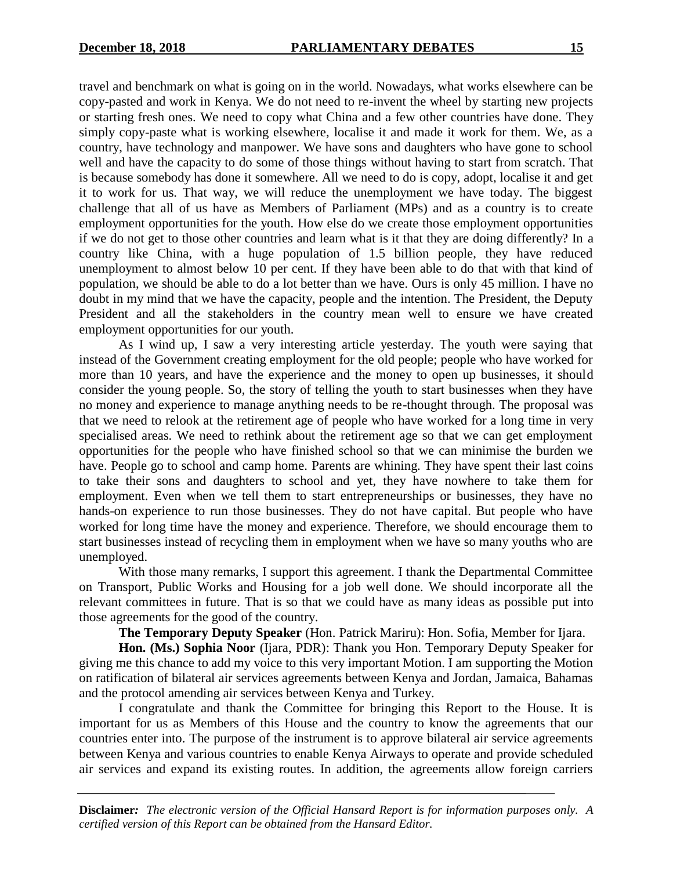travel and benchmark on what is going on in the world. Nowadays, what works elsewhere can be copy-pasted and work in Kenya. We do not need to re-invent the wheel by starting new projects or starting fresh ones. We need to copy what China and a few other countries have done. They simply copy-paste what is working elsewhere, localise it and made it work for them. We, as a country, have technology and manpower. We have sons and daughters who have gone to school well and have the capacity to do some of those things without having to start from scratch. That is because somebody has done it somewhere. All we need to do is copy, adopt, localise it and get it to work for us. That way, we will reduce the unemployment we have today. The biggest challenge that all of us have as Members of Parliament (MPs) and as a country is to create employment opportunities for the youth. How else do we create those employment opportunities if we do not get to those other countries and learn what is it that they are doing differently? In a country like China, with a huge population of 1.5 billion people, they have reduced unemployment to almost below 10 per cent. If they have been able to do that with that kind of population, we should be able to do a lot better than we have. Ours is only 45 million. I have no doubt in my mind that we have the capacity, people and the intention. The President, the Deputy President and all the stakeholders in the country mean well to ensure we have created employment opportunities for our youth.

As I wind up, I saw a very interesting article yesterday. The youth were saying that instead of the Government creating employment for the old people; people who have worked for more than 10 years, and have the experience and the money to open up businesses, it should consider the young people. So, the story of telling the youth to start businesses when they have no money and experience to manage anything needs to be re-thought through. The proposal was that we need to relook at the retirement age of people who have worked for a long time in very specialised areas. We need to rethink about the retirement age so that we can get employment opportunities for the people who have finished school so that we can minimise the burden we have. People go to school and camp home. Parents are whining. They have spent their last coins to take their sons and daughters to school and yet, they have nowhere to take them for employment. Even when we tell them to start entrepreneurships or businesses, they have no hands-on experience to run those businesses. They do not have capital. But people who have worked for long time have the money and experience. Therefore, we should encourage them to start businesses instead of recycling them in employment when we have so many youths who are unemployed.

With those many remarks, I support this agreement. I thank the Departmental Committee on Transport, Public Works and Housing for a job well done. We should incorporate all the relevant committees in future. That is so that we could have as many ideas as possible put into those agreements for the good of the country.

**The Temporary Deputy Speaker** (Hon. Patrick Mariru): Hon. Sofia, Member for Ijara.

**Hon. (Ms.) Sophia Noor** (Ijara, PDR): Thank you Hon. Temporary Deputy Speaker for giving me this chance to add my voice to this very important Motion. I am supporting the Motion on ratification of bilateral air services agreements between Kenya and Jordan, Jamaica, Bahamas and the protocol amending air services between Kenya and Turkey.

I congratulate and thank the Committee for bringing this Report to the House. It is important for us as Members of this House and the country to know the agreements that our countries enter into. The purpose of the instrument is to approve bilateral air service agreements between Kenya and various countries to enable Kenya Airways to operate and provide scheduled air services and expand its existing routes. In addition, the agreements allow foreign carriers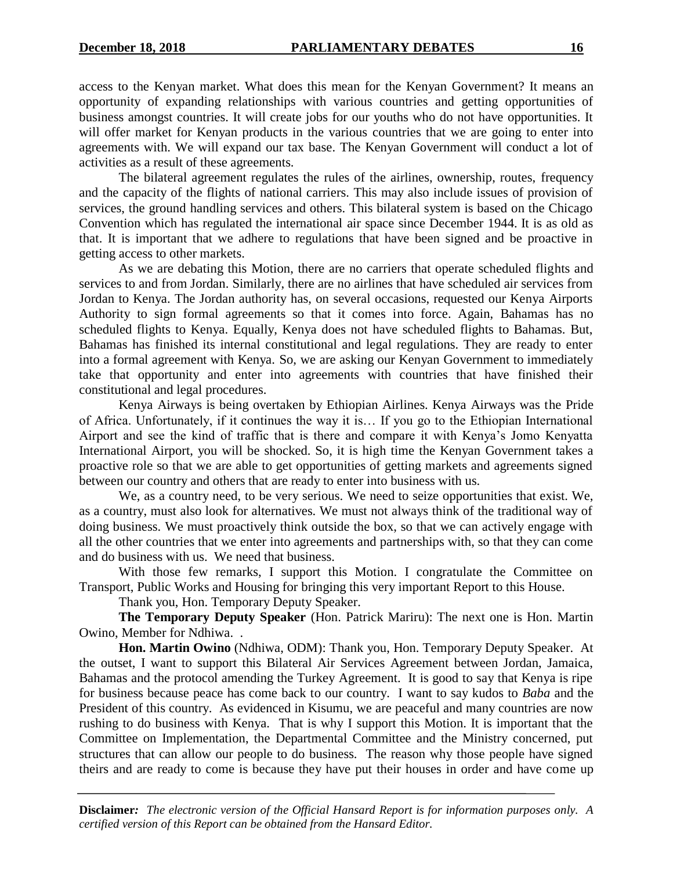access to the Kenyan market. What does this mean for the Kenyan Government? It means an opportunity of expanding relationships with various countries and getting opportunities of business amongst countries. It will create jobs for our youths who do not have opportunities. It will offer market for Kenyan products in the various countries that we are going to enter into agreements with. We will expand our tax base. The Kenyan Government will conduct a lot of activities as a result of these agreements.

The bilateral agreement regulates the rules of the airlines, ownership, routes, frequency and the capacity of the flights of national carriers. This may also include issues of provision of services, the ground handling services and others. This bilateral system is based on the Chicago Convention which has regulated the international air space since December 1944. It is as old as that. It is important that we adhere to regulations that have been signed and be proactive in getting access to other markets.

As we are debating this Motion, there are no carriers that operate scheduled flights and services to and from Jordan. Similarly, there are no airlines that have scheduled air services from Jordan to Kenya. The Jordan authority has, on several occasions, requested our Kenya Airports Authority to sign formal agreements so that it comes into force. Again, Bahamas has no scheduled flights to Kenya. Equally, Kenya does not have scheduled flights to Bahamas. But, Bahamas has finished its internal constitutional and legal regulations. They are ready to enter into a formal agreement with Kenya. So, we are asking our Kenyan Government to immediately take that opportunity and enter into agreements with countries that have finished their constitutional and legal procedures.

Kenya Airways is being overtaken by Ethiopian Airlines. Kenya Airways was the Pride of Africa. Unfortunately, if it continues the way it is… If you go to the Ethiopian International Airport and see the kind of traffic that is there and compare it with Kenya's Jomo Kenyatta International Airport, you will be shocked. So, it is high time the Kenyan Government takes a proactive role so that we are able to get opportunities of getting markets and agreements signed between our country and others that are ready to enter into business with us.

We, as a country need, to be very serious. We need to seize opportunities that exist. We, as a country, must also look for alternatives. We must not always think of the traditional way of doing business. We must proactively think outside the box, so that we can actively engage with all the other countries that we enter into agreements and partnerships with, so that they can come and do business with us. We need that business.

With those few remarks, I support this Motion. I congratulate the Committee on Transport, Public Works and Housing for bringing this very important Report to this House.

Thank you, Hon. Temporary Deputy Speaker.

**The Temporary Deputy Speaker** (Hon. Patrick Mariru): The next one is Hon. Martin Owino, Member for Ndhiwa. .

**Hon. Martin Owino** (Ndhiwa, ODM): Thank you, Hon. Temporary Deputy Speaker. At the outset, I want to support this Bilateral Air Services Agreement between Jordan, Jamaica, Bahamas and the protocol amending the Turkey Agreement. It is good to say that Kenya is ripe for business because peace has come back to our country. I want to say kudos to *Baba* and the President of this country. As evidenced in Kisumu, we are peaceful and many countries are now rushing to do business with Kenya. That is why I support this Motion. It is important that the Committee on Implementation, the Departmental Committee and the Ministry concerned, put structures that can allow our people to do business. The reason why those people have signed theirs and are ready to come is because they have put their houses in order and have come up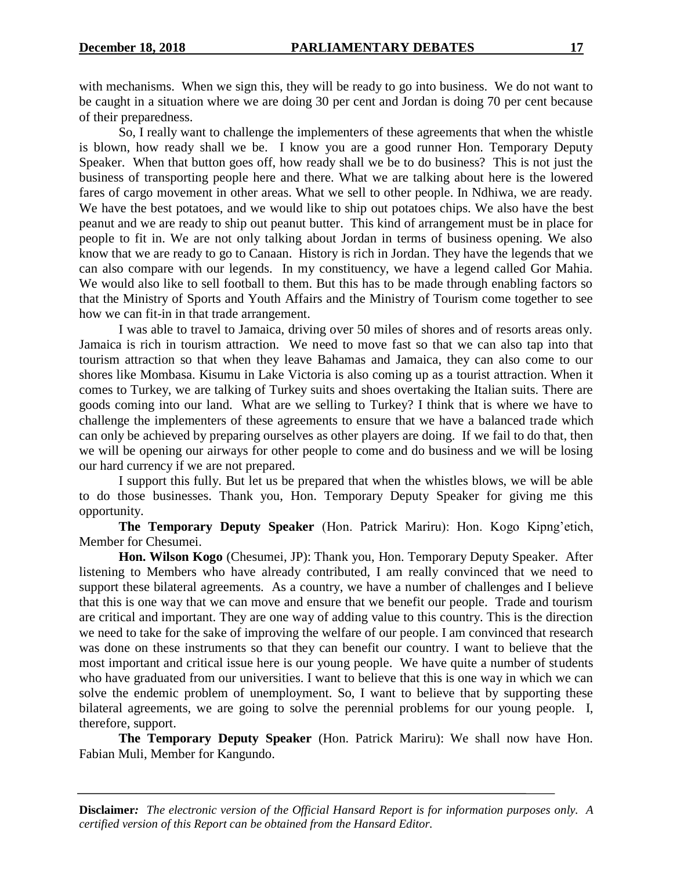with mechanisms. When we sign this, they will be ready to go into business. We do not want to be caught in a situation where we are doing 30 per cent and Jordan is doing 70 per cent because of their preparedness.

So, I really want to challenge the implementers of these agreements that when the whistle is blown, how ready shall we be. I know you are a good runner Hon. Temporary Deputy Speaker. When that button goes off, how ready shall we be to do business? This is not just the business of transporting people here and there. What we are talking about here is the lowered fares of cargo movement in other areas. What we sell to other people. In Ndhiwa, we are ready. We have the best potatoes, and we would like to ship out potatoes chips. We also have the best peanut and we are ready to ship out peanut butter. This kind of arrangement must be in place for people to fit in. We are not only talking about Jordan in terms of business opening. We also know that we are ready to go to Canaan. History is rich in Jordan. They have the legends that we can also compare with our legends. In my constituency, we have a legend called Gor Mahia. We would also like to sell football to them. But this has to be made through enabling factors so that the Ministry of Sports and Youth Affairs and the Ministry of Tourism come together to see how we can fit-in in that trade arrangement.

I was able to travel to Jamaica, driving over 50 miles of shores and of resorts areas only. Jamaica is rich in tourism attraction. We need to move fast so that we can also tap into that tourism attraction so that when they leave Bahamas and Jamaica, they can also come to our shores like Mombasa. Kisumu in Lake Victoria is also coming up as a tourist attraction. When it comes to Turkey, we are talking of Turkey suits and shoes overtaking the Italian suits. There are goods coming into our land. What are we selling to Turkey? I think that is where we have to challenge the implementers of these agreements to ensure that we have a balanced trade which can only be achieved by preparing ourselves as other players are doing. If we fail to do that, then we will be opening our airways for other people to come and do business and we will be losing our hard currency if we are not prepared.

I support this fully. But let us be prepared that when the whistles blows, we will be able to do those businesses. Thank you, Hon. Temporary Deputy Speaker for giving me this opportunity.

**The Temporary Deputy Speaker** (Hon. Patrick Mariru): Hon. Kogo Kipng'etich, Member for Chesumei.

**Hon. Wilson Kogo** (Chesumei, JP): Thank you, Hon. Temporary Deputy Speaker. After listening to Members who have already contributed, I am really convinced that we need to support these bilateral agreements. As a country, we have a number of challenges and I believe that this is one way that we can move and ensure that we benefit our people. Trade and tourism are critical and important. They are one way of adding value to this country. This is the direction we need to take for the sake of improving the welfare of our people. I am convinced that research was done on these instruments so that they can benefit our country. I want to believe that the most important and critical issue here is our young people. We have quite a number of students who have graduated from our universities. I want to believe that this is one way in which we can solve the endemic problem of unemployment. So, I want to believe that by supporting these bilateral agreements, we are going to solve the perennial problems for our young people. I, therefore, support.

**The Temporary Deputy Speaker** (Hon. Patrick Mariru): We shall now have Hon. Fabian Muli, Member for Kangundo.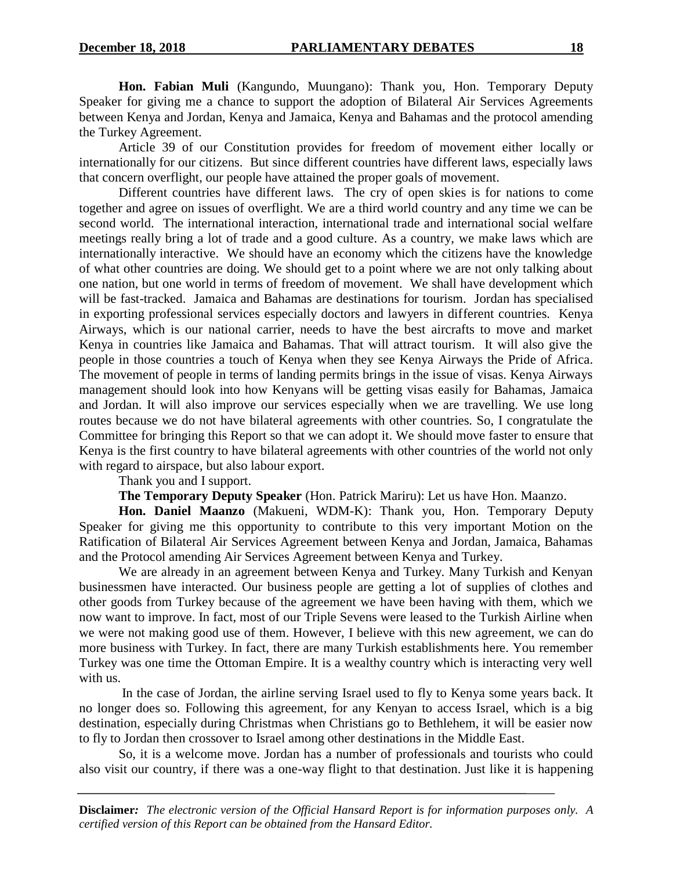**Hon. Fabian Muli** (Kangundo, Muungano): Thank you, Hon. Temporary Deputy Speaker for giving me a chance to support the adoption of Bilateral Air Services Agreements between Kenya and Jordan, Kenya and Jamaica, Kenya and Bahamas and the protocol amending the Turkey Agreement.

Article 39 of our Constitution provides for freedom of movement either locally or internationally for our citizens. But since different countries have different laws, especially laws that concern overflight, our people have attained the proper goals of movement.

Different countries have different laws. The cry of open skies is for nations to come together and agree on issues of overflight. We are a third world country and any time we can be second world. The international interaction, international trade and international social welfare meetings really bring a lot of trade and a good culture. As a country, we make laws which are internationally interactive. We should have an economy which the citizens have the knowledge of what other countries are doing. We should get to a point where we are not only talking about one nation, but one world in terms of freedom of movement. We shall have development which will be fast-tracked. Jamaica and Bahamas are destinations for tourism. Jordan has specialised in exporting professional services especially doctors and lawyers in different countries. Kenya Airways, which is our national carrier, needs to have the best aircrafts to move and market Kenya in countries like Jamaica and Bahamas. That will attract tourism. It will also give the people in those countries a touch of Kenya when they see Kenya Airways the Pride of Africa. The movement of people in terms of landing permits brings in the issue of visas. Kenya Airways management should look into how Kenyans will be getting visas easily for Bahamas, Jamaica and Jordan. It will also improve our services especially when we are travelling. We use long routes because we do not have bilateral agreements with other countries. So, I congratulate the Committee for bringing this Report so that we can adopt it. We should move faster to ensure that Kenya is the first country to have bilateral agreements with other countries of the world not only with regard to airspace, but also labour export.

Thank you and I support.

**The Temporary Deputy Speaker** (Hon. Patrick Mariru): Let us have Hon. Maanzo.

**Hon. Daniel Maanzo** (Makueni, WDM-K): Thank you, Hon. Temporary Deputy Speaker for giving me this opportunity to contribute to this very important Motion on the Ratification of Bilateral Air Services Agreement between Kenya and Jordan, Jamaica, Bahamas and the Protocol amending Air Services Agreement between Kenya and Turkey.

We are already in an agreement between Kenya and Turkey. Many Turkish and Kenyan businessmen have interacted. Our business people are getting a lot of supplies of clothes and other goods from Turkey because of the agreement we have been having with them, which we now want to improve. In fact, most of our Triple Sevens were leased to the Turkish Airline when we were not making good use of them. However, I believe with this new agreement, we can do more business with Turkey. In fact, there are many Turkish establishments here. You remember Turkey was one time the Ottoman Empire. It is a wealthy country which is interacting very well with us.

In the case of Jordan, the airline serving Israel used to fly to Kenya some years back. It no longer does so. Following this agreement, for any Kenyan to access Israel, which is a big destination, especially during Christmas when Christians go to Bethlehem, it will be easier now to fly to Jordan then crossover to Israel among other destinations in the Middle East.

So, it is a welcome move. Jordan has a number of professionals and tourists who could also visit our country, if there was a one-way flight to that destination. Just like it is happening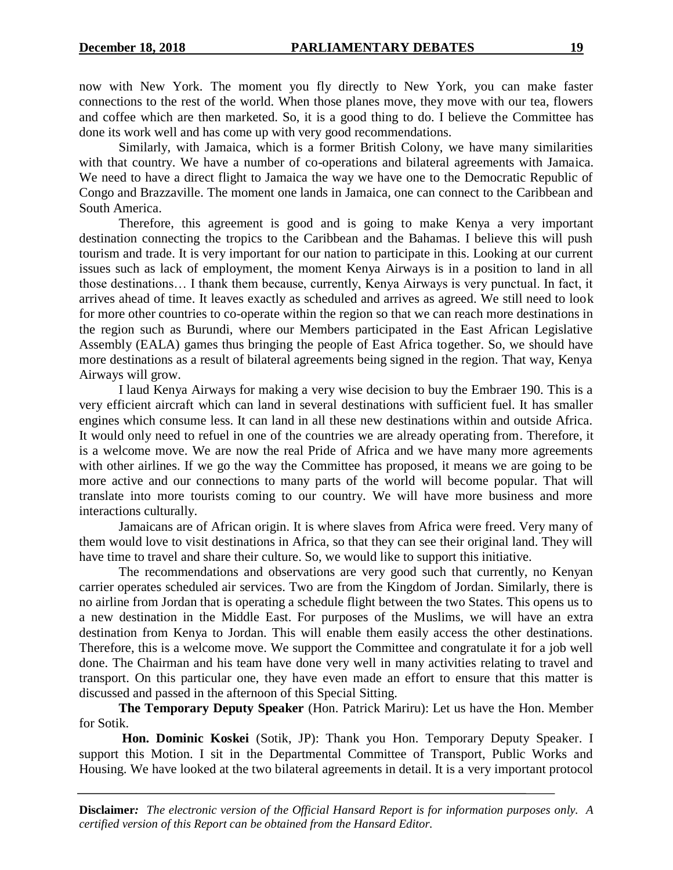now with New York. The moment you fly directly to New York, you can make faster connections to the rest of the world. When those planes move, they move with our tea, flowers and coffee which are then marketed. So, it is a good thing to do. I believe the Committee has done its work well and has come up with very good recommendations.

Similarly, with Jamaica, which is a former British Colony, we have many similarities with that country. We have a number of co-operations and bilateral agreements with Jamaica. We need to have a direct flight to Jamaica the way we have one to the Democratic Republic of Congo and Brazzaville. The moment one lands in Jamaica, one can connect to the Caribbean and South America.

Therefore, this agreement is good and is going to make Kenya a very important destination connecting the tropics to the Caribbean and the Bahamas. I believe this will push tourism and trade. It is very important for our nation to participate in this. Looking at our current issues such as lack of employment, the moment Kenya Airways is in a position to land in all those destinations… I thank them because, currently, Kenya Airways is very punctual. In fact, it arrives ahead of time. It leaves exactly as scheduled and arrives as agreed. We still need to look for more other countries to co-operate within the region so that we can reach more destinations in the region such as Burundi, where our Members participated in the East African Legislative Assembly (EALA) games thus bringing the people of East Africa together. So, we should have more destinations as a result of bilateral agreements being signed in the region. That way, Kenya Airways will grow.

I laud Kenya Airways for making a very wise decision to buy the Embraer 190. This is a very efficient aircraft which can land in several destinations with sufficient fuel. It has smaller engines which consume less. It can land in all these new destinations within and outside Africa. It would only need to refuel in one of the countries we are already operating from. Therefore, it is a welcome move. We are now the real Pride of Africa and we have many more agreements with other airlines. If we go the way the Committee has proposed, it means we are going to be more active and our connections to many parts of the world will become popular. That will translate into more tourists coming to our country. We will have more business and more interactions culturally.

Jamaicans are of African origin. It is where slaves from Africa were freed. Very many of them would love to visit destinations in Africa, so that they can see their original land. They will have time to travel and share their culture. So, we would like to support this initiative.

The recommendations and observations are very good such that currently, no Kenyan carrier operates scheduled air services. Two are from the Kingdom of Jordan. Similarly, there is no airline from Jordan that is operating a schedule flight between the two States. This opens us to a new destination in the Middle East. For purposes of the Muslims, we will have an extra destination from Kenya to Jordan. This will enable them easily access the other destinations. Therefore, this is a welcome move. We support the Committee and congratulate it for a job well done. The Chairman and his team have done very well in many activities relating to travel and transport. On this particular one, they have even made an effort to ensure that this matter is discussed and passed in the afternoon of this Special Sitting.

**The Temporary Deputy Speaker** (Hon. Patrick Mariru): Let us have the Hon. Member for Sotik.

**Hon. Dominic Koskei** (Sotik, JP): Thank you Hon. Temporary Deputy Speaker. I support this Motion. I sit in the Departmental Committee of Transport, Public Works and Housing. We have looked at the two bilateral agreements in detail. It is a very important protocol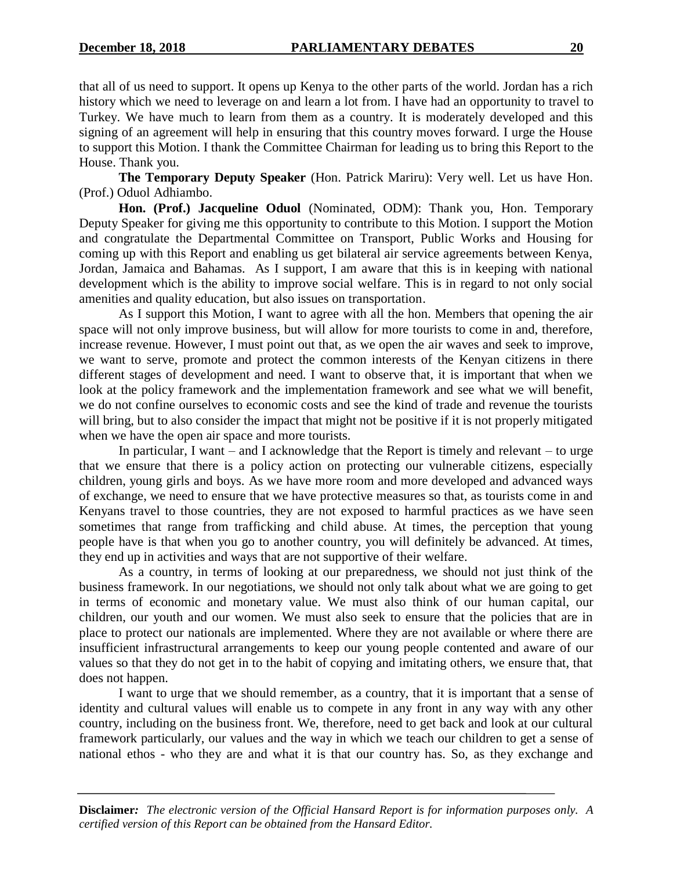that all of us need to support. It opens up Kenya to the other parts of the world. Jordan has a rich history which we need to leverage on and learn a lot from. I have had an opportunity to travel to Turkey. We have much to learn from them as a country. It is moderately developed and this signing of an agreement will help in ensuring that this country moves forward. I urge the House to support this Motion. I thank the Committee Chairman for leading us to bring this Report to the House. Thank you.

**The Temporary Deputy Speaker** (Hon. Patrick Mariru): Very well. Let us have Hon. (Prof.) Oduol Adhiambo.

**Hon. (Prof.) Jacqueline Oduol** (Nominated, ODM): Thank you, Hon. Temporary Deputy Speaker for giving me this opportunity to contribute to this Motion. I support the Motion and congratulate the Departmental Committee on Transport, Public Works and Housing for coming up with this Report and enabling us get bilateral air service agreements between Kenya, Jordan, Jamaica and Bahamas. As I support, I am aware that this is in keeping with national development which is the ability to improve social welfare. This is in regard to not only social amenities and quality education, but also issues on transportation.

As I support this Motion, I want to agree with all the hon. Members that opening the air space will not only improve business, but will allow for more tourists to come in and, therefore, increase revenue. However, I must point out that, as we open the air waves and seek to improve, we want to serve, promote and protect the common interests of the Kenyan citizens in there different stages of development and need. I want to observe that, it is important that when we look at the policy framework and the implementation framework and see what we will benefit, we do not confine ourselves to economic costs and see the kind of trade and revenue the tourists will bring, but to also consider the impact that might not be positive if it is not properly mitigated when we have the open air space and more tourists.

In particular, I want – and I acknowledge that the Report is timely and relevant – to urge that we ensure that there is a policy action on protecting our vulnerable citizens, especially children, young girls and boys. As we have more room and more developed and advanced ways of exchange, we need to ensure that we have protective measures so that, as tourists come in and Kenyans travel to those countries, they are not exposed to harmful practices as we have seen sometimes that range from trafficking and child abuse. At times, the perception that young people have is that when you go to another country, you will definitely be advanced. At times, they end up in activities and ways that are not supportive of their welfare.

As a country, in terms of looking at our preparedness, we should not just think of the business framework. In our negotiations, we should not only talk about what we are going to get in terms of economic and monetary value. We must also think of our human capital, our children, our youth and our women. We must also seek to ensure that the policies that are in place to protect our nationals are implemented. Where they are not available or where there are insufficient infrastructural arrangements to keep our young people contented and aware of our values so that they do not get in to the habit of copying and imitating others, we ensure that, that does not happen.

I want to urge that we should remember, as a country, that it is important that a sense of identity and cultural values will enable us to compete in any front in any way with any other country, including on the business front. We, therefore, need to get back and look at our cultural framework particularly, our values and the way in which we teach our children to get a sense of national ethos - who they are and what it is that our country has. So, as they exchange and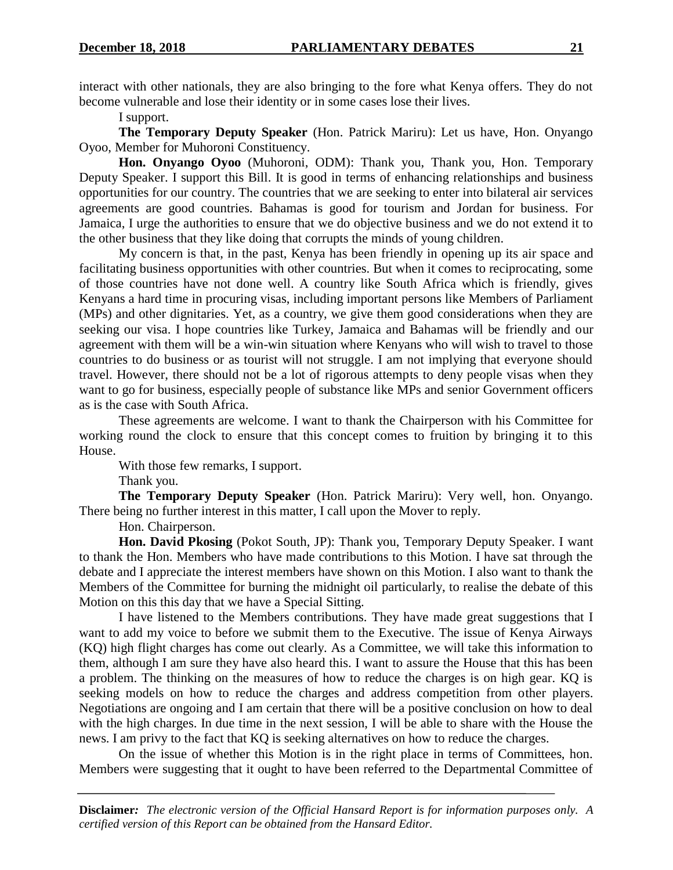interact with other nationals, they are also bringing to the fore what Kenya offers. They do not become vulnerable and lose their identity or in some cases lose their lives.

I support.

**The Temporary Deputy Speaker** (Hon. Patrick Mariru): Let us have, Hon. Onyango Oyoo, Member for Muhoroni Constituency.

**Hon. Onyango Oyoo** (Muhoroni, ODM): Thank you, Thank you, Hon. Temporary Deputy Speaker. I support this Bill. It is good in terms of enhancing relationships and business opportunities for our country. The countries that we are seeking to enter into bilateral air services agreements are good countries. Bahamas is good for tourism and Jordan for business. For Jamaica, I urge the authorities to ensure that we do objective business and we do not extend it to the other business that they like doing that corrupts the minds of young children.

My concern is that, in the past, Kenya has been friendly in opening up its air space and facilitating business opportunities with other countries. But when it comes to reciprocating, some of those countries have not done well. A country like South Africa which is friendly, gives Kenyans a hard time in procuring visas, including important persons like Members of Parliament (MPs) and other dignitaries. Yet, as a country, we give them good considerations when they are seeking our visa. I hope countries like Turkey, Jamaica and Bahamas will be friendly and our agreement with them will be a win-win situation where Kenyans who will wish to travel to those countries to do business or as tourist will not struggle. I am not implying that everyone should travel. However, there should not be a lot of rigorous attempts to deny people visas when they want to go for business, especially people of substance like MPs and senior Government officers as is the case with South Africa.

These agreements are welcome. I want to thank the Chairperson with his Committee for working round the clock to ensure that this concept comes to fruition by bringing it to this House.

With those few remarks, I support.

Thank you.

**The Temporary Deputy Speaker** (Hon. Patrick Mariru): Very well, hon. Onyango. There being no further interest in this matter, I call upon the Mover to reply.

Hon. Chairperson.

**Hon. David Pkosing** (Pokot South, JP): Thank you, Temporary Deputy Speaker. I want to thank the Hon. Members who have made contributions to this Motion. I have sat through the debate and I appreciate the interest members have shown on this Motion. I also want to thank the Members of the Committee for burning the midnight oil particularly, to realise the debate of this Motion on this this day that we have a Special Sitting.

I have listened to the Members contributions. They have made great suggestions that I want to add my voice to before we submit them to the Executive. The issue of Kenya Airways (KQ) high flight charges has come out clearly. As a Committee, we will take this information to them, although I am sure they have also heard this. I want to assure the House that this has been a problem. The thinking on the measures of how to reduce the charges is on high gear. KQ is seeking models on how to reduce the charges and address competition from other players. Negotiations are ongoing and I am certain that there will be a positive conclusion on how to deal with the high charges. In due time in the next session, I will be able to share with the House the news. I am privy to the fact that KQ is seeking alternatives on how to reduce the charges.

On the issue of whether this Motion is in the right place in terms of Committees, hon. Members were suggesting that it ought to have been referred to the Departmental Committee of